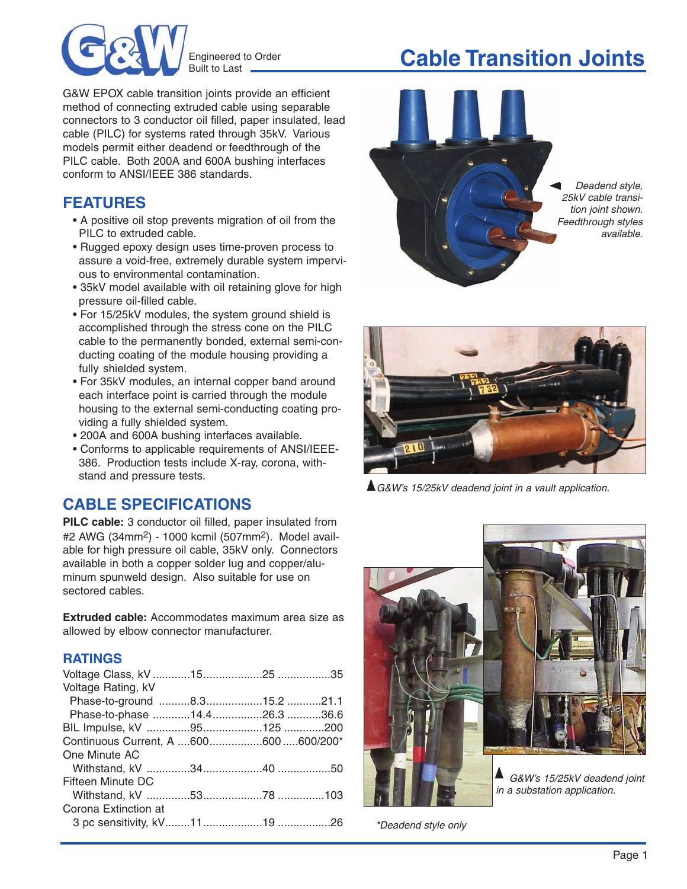

Engineered to Order Built to Last **.** 

# **Cable Transition Joints**

G&W EPOX cable transition joints provide an efficient method of connecting extruded cable using separable connectors to 3 conductor oil filled, paper insulated, lead cable (PILC) for systems rated through 35kV. Various models permit either deadend or feedthrough of the PILC cable. Both 200A and 600A bushing interfaces conform to ANSI/IEEE 386 standards.

### **FEATURES**

- A positive oil stop prevents migration of oil from the PILC to extruded cable.
- Rugged epoxy design uses time-proven process to assure a void-free, extremely durable system impervious to environmental contamination.
- 35kV model available with oil retaining glove for high pressure oil-filled cable.
- For 15/25kV modules, the system ground shield is accomplished through the stress cone on the PILC cable to the permanently bonded, external semi-conducting coating of the module housing providing a fully shielded system.
- For 35kV modules, an internal copper band around each interface point is carried through the module housing to the external semi-conducting coating providing a fully shielded system.
- 200A and 600A bushing interfaces available.
- Conforms to applicable requirements of ANSI/IEEE-386. Production tests include X-ray, corona, withstand and pressure tests.

## **CABLE SPECIFICATIONS**

**PILC cable:** 3 conductor oil filled, paper insulated from #2 AWG (34mm2) - 1000 kcmil (507mm2). Model available for high pressure oil cable, 35kV only. Connectors available in both a copper solder lug and copper/aluminum spunweld design. Also suitable for use on sectored cables.

**Extruded cable:** Accommodates maximum area size as allowed by elbow connector manufacturer.

#### **RATINGS**

| Voltage Rating, kV                   |  |  |
|--------------------------------------|--|--|
| Phase-to-ground 8.315.2 21.1         |  |  |
| Phase-to-phase 14.426.3 36.6         |  |  |
|                                      |  |  |
| Continuous Current, A 600600600/200* |  |  |
| One Minute AC                        |  |  |
|                                      |  |  |
| Fifteen Minute DC                    |  |  |
|                                      |  |  |
| Corona Extinction at                 |  |  |
|                                      |  |  |





▲ G&W's 15/25kV deadend joint in a vault application.



\*Deadend style only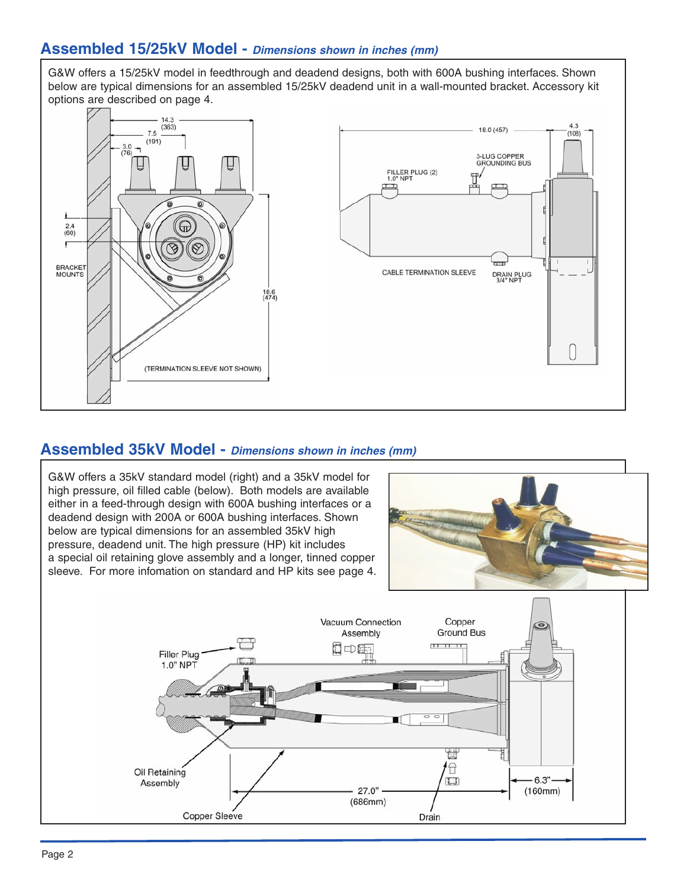#### **Assembled 15/25kV Model -** *Dimensions shown in inches (mm)*

G&W offers a 15/25kV model in feedthrough and deadend designs, both with 600A bushing interfaces. Shown below are typical dimensions for an assembled 15/25kV deadend unit in a wall-mounted bracket. Accessory kit options are described on page 4.



#### **Assembled 35kV Model -** *Dimensions shown in inches (mm)*

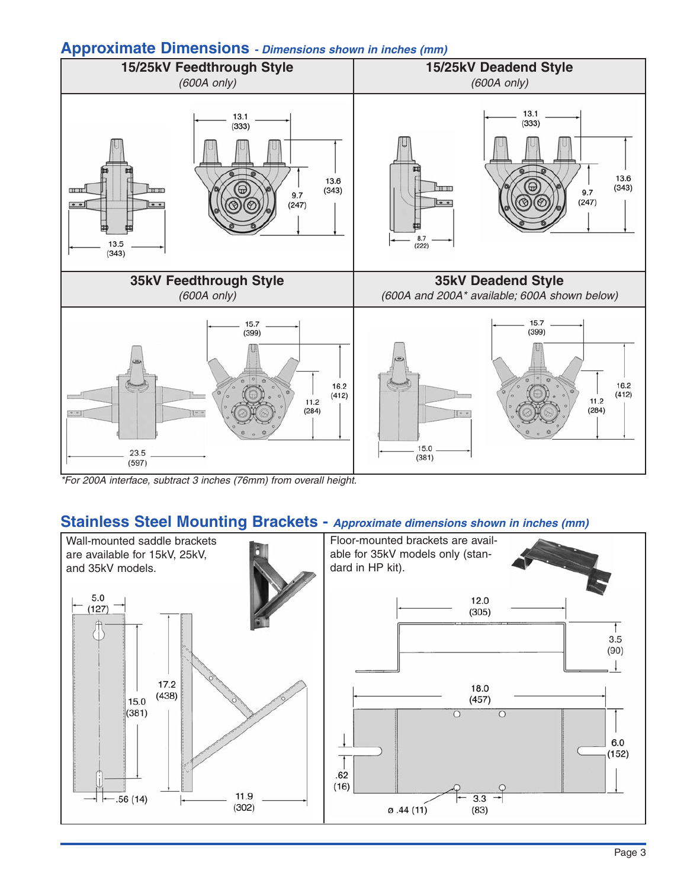#### **Approximate Dimensions** *- Dimensions shown in inches (mm)*



\*For 200A interface, subtract 3 inches (76mm) from overall height.

#### **Stainless Steel Mounting Brackets -** *Approximate dimensions shown in inches (mm)*